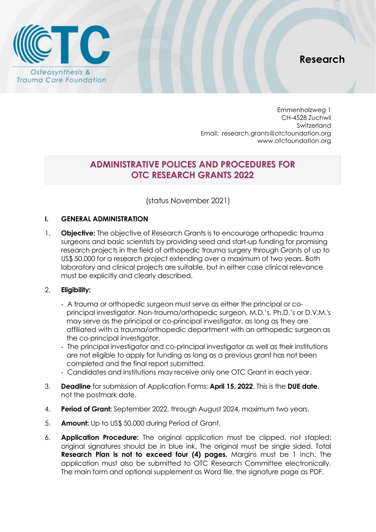



Emmenholzweg 1 CH-4528 Zuchwil Switzerland Email: [research.grants@otcfoundation.org](mailto:research.grants@otcfoundation.org) [www.otcfoundation.org](www.otcfoundation.org%20)

# **ADMINISTRATIVE POLICES AND PROCEDURES FOR OTC RESEARCH GRANTS 2022**

(status November 2021)

### **I. GENERAL ADMINISTRATION**

1. **Objective:** The objective of Research Grants is to encourage orthopedic trauma surgeons and basic scientists by providing seed and start-up funding for promising research projects in the field of orthopedic trauma surgery through Grants of up to US\$ 50,000 for a research project extending over a maximum of two years. Both laboratory and clinical projects are suitable, but in either case clinical relevance must be explicitly and clearly described.

### 2. **Eligibility:**

- A trauma or orthopedic surgeon must serve as either the principal or coprincipal investigator. Non-trauma/orthopedic surgeon, M.D.'s, Ph.D.'s or D.V.M.'s may serve as the principal or co-principal investigator, as long as they are affiliated with a trauma/orthopedic department with an orthopedic surgeon as the co-principal investigator.
- The principal investigator and co-principal investigator as well as their institutions are not eligible to apply for funding as long as a previous grant has not been completed and the final report submitted.
- Candidates and institutions may receive only one OTC Grant in each year.
- 3. **Deadline** for submission of Application Forms: **April 15, 2022**. This is the **DUE date**, not the postmark date.
- 4. **Period of Grant:** September 2022, through August 2024, maximum two years.
- 5. **Amount:** Up to US\$ 50,000 during Period of Grant.
- 6. **Application Procedure:** The original application must be clipped, not stapled; original signatures should be in blue ink. The original must be single sided. Total **Research Plan is not to exceed four (4) pages.** Margins must be 1 inch. The application must also be submitted to OTC Research Committee electronically. The main form and optional supplement as Word file, the signature page as PDF.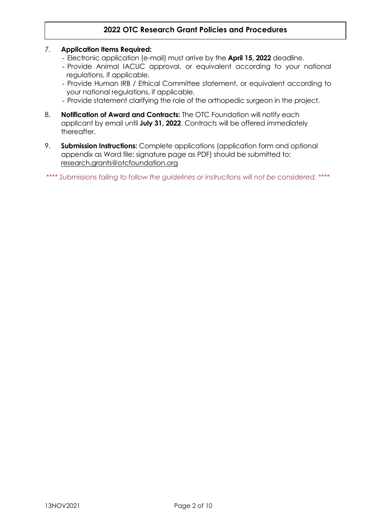### 7. **Application Items Required:**

- Electronic application (e-mail) must arrive by the **April 15, 2022** deadline.
- Provide Animal IACUC approval, or equivalent according to your national regulations, if applicable.
- Provide Human IRB / Ethical Committee statement, or equivalent according to your national regulations, if applicable.
- Provide statement clarifying the role of the orthopedic surgeon in the project.
- 8. **Notification of Award and Contracts:** The OTC Foundation will notify each applicant by email until **July 31, 2022**. Contracts will be offered immediately thereafter.
- 9. **Submission Instructions:** Complete applications (application form and optional appendix as Word file; signature page as PDF) should be submitted to: [research.grants@otcfoundation.org](mailto:research.grants@otcfoundation.org)

*\*\*\*\* Submissions failing to follow the guidelines or instructions will not be considered. \*\*\*\**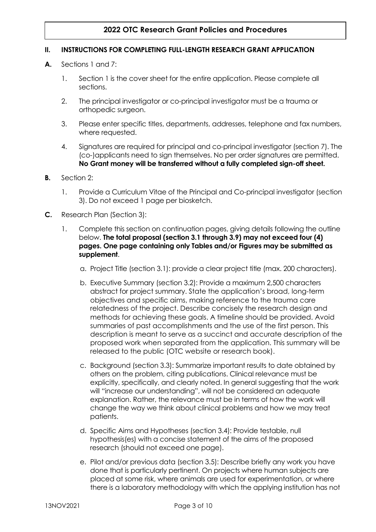### **II. INSTRUCTIONS FOR COMPLETING FULL-LENGTH RESEARCH GRANT APPLICATION**

- **A.** Sections 1 and 7:
	- 1. Section 1 is the cover sheet for the entire application. Please complete all sections.
	- 2. The principal investigator or co-principal investigator must be a trauma or orthopedic surgeon.
	- 3. Please enter specific titles, departments, addresses, telephone and fax numbers, where requested.
	- 4. Signatures are required for principal and co-principal investigator (section 7). The (co-)applicants need to sign themselves. No per order signatures are permitted. **No Grant money will be transferred without a fully completed sign-off sheet.**
- **B.** Section 2:
	- 1. Provide a Curriculum Vitae of the Principal and Co-principal investigator (section 3). Do not exceed 1 page per biosketch.
- **C.** Research Plan (Section 3):
	- 1. Complete this section on continuation pages, giving details following the outline below. **The total proposal (section 3.1 through 3.9) may not exceed four (4) pages. One page containing only Tables and/or Figures may be submitted as supplement**.
		- a. Project Title (section 3.1): provide a clear project title (max. 200 characters).
		- b. Executive Summary (section 3.2): Provide a maximum 2,500 characters abstract for project summary. State the application's broad, long-term objectives and specific aims, making reference to the trauma care relatedness of the project. Describe concisely the research design and methods for achieving these goals. A timeline should be provided. Avoid summaries of past accomplishments and the use of the first person. This description is meant to serve as a succinct and accurate description of the proposed work when separated from the application. This summary will be released to the public (OTC website or research book).
		- c. Background (section 3.3): Summarize important results to date obtained by others on the problem, citing publications. Clinical relevance must be explicitly, specifically, and clearly noted. In general suggesting that the work will "increase our understanding", will not be considered an adequate explanation. Rather, the relevance must be in terms of how the work will change the way we think about clinical problems and how we may treat patients.
		- d. Specific Aims and Hypotheses (section 3.4): Provide testable, null hypothesis(es) with a concise statement of the aims of the proposed research (should not exceed one page).
		- e. Pilot and/or previous data (section 3.5): Describe briefly any work you have done that is particularly pertinent. On projects where human subjects are placed at some risk, where animals are used for experimentation, or where there is a laboratory methodology with which the applying institution has not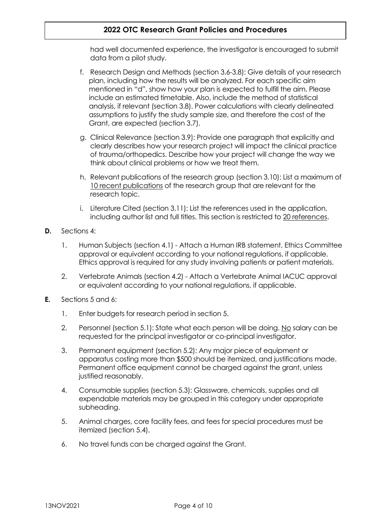had well documented experience, the investigator is encouraged to submit data from a pilot study.

- f. Research Design and Methods (section 3.6-3.8): Give details of your research plan, including how the results will be analyzed. For each specific aim mentioned in "d", show how your plan is expected to fulfill the aim. Please include an estimated timetable. Also, include the method of statistical analysis, if relevant (section 3.8). Power calculations with clearly delineated assumptions to justify the study sample size, and therefore the cost of the Grant, are expected (section 3.7).
- g. Clinical Relevance (section 3.9): Provide one paragraph that explicitly and clearly describes how your research project will impact the clinical practice of trauma/orthopedics. Describe how your project will change the way we think about clinical problems or how we treat them.
- h. Relevant publications of the research group (section 3.10): List a maximum of 10 recent publications of the research group that are relevant for the research topic.
- i. Literature Cited (section 3.11): List the references used in the application, including author list and full titles. This section is restricted to 20 references.
- **D.** Sections 4:
	- 1. Human Subjects (section 4.1) Attach a Human IRB statement, Ethics Committee approval or equivalent according to your national regulations, if applicable. Ethics approval is required for any study involving patients or patient materials.
	- 2. Vertebrate Animals (section 4.2) Attach a Vertebrate Animal IACUC approval or equivalent according to your national regulations, if applicable.
- **E.** Sections 5 and 6:
	- 1. Enter budgets for research period in section 5.
	- 2. Personnel (section 5.1): State what each person will be doing. No salary can be requested for the principal investigator or co-principal investigator.
	- 3. Permanent equipment (section 5.2): Any major piece of equipment or apparatus costing more than \$500 should be itemized, and justifications made. Permanent office equipment cannot be charged against the grant, unless justified reasonably.
	- 4. Consumable supplies (section 5.3): Glassware, chemicals, supplies and all expendable materials may be grouped in this category under appropriate subheading.
	- 5. Animal charges, core facility fees, and fees for special procedures must be itemized (section 5.4).
	- 6. No travel funds can be charged against the Grant.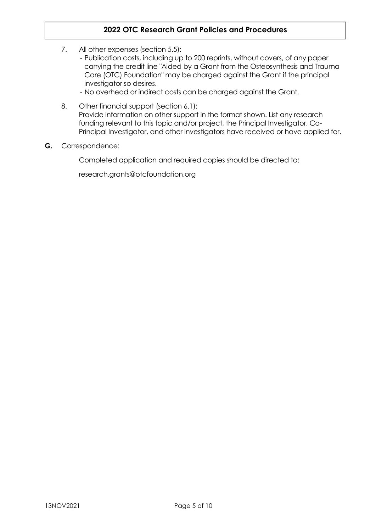- 7. All other expenses (section 5.5):
	- Publication costs, including up to 200 reprints, without covers, of any paper carrying the credit line "Aided by a Grant from the Osteosynthesis and Trauma Care (OTC) Foundation" may be charged against the Grant if the principal investigator so desires.
	- No overhead or indirect costs can be charged against the Grant.
- 8. Other financial support (section 6.1): Provide information on other support in the format shown. List any research funding relevant to this topic and/or project, the Principal Investigator, Co-Principal Investigator, and other investigators have received or have applied for.
- **G.** Correspondence:

Completed application and required copies should be directed to:

[research.grants@otcfoundation.org](mailto:research.grants@otcfoundation.org)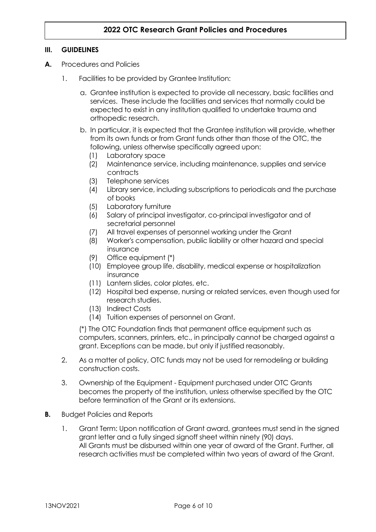### **III. GUIDELINES**

- **A.** Procedures and Policies
	- 1. Facilities to be provided by Grantee Institution:
		- a. Grantee institution is expected to provide all necessary, basic facilities and services. These include the facilities and services that normally could be expected to exist in any institution qualified to undertake trauma and orthopedic research.
		- b. In particular, it is expected that the Grantee institution will provide, whether from its own funds or from Grant funds other than those of the OTC, the following, unless otherwise specifically agreed upon:
			- (1) Laboratory space
			- (2) Maintenance service, including maintenance, supplies and service contracts
			- (3) Telephone services
			- (4) Library service, including subscriptions to periodicals and the purchase of books
			- (5) Laboratory furniture
			- (6) Salary of principal investigator, co-principal investigator and of secretarial personnel
			- (7) All travel expenses of personnel working under the Grant
			- (8) Worker's compensation, public liability or other hazard and special insurance
			- (9) Office equipment (\*)
			- (10) Employee group life, disability, medical expense or hospitalization insurance
			- (11) Lantern slides, color plates, etc.
			- (12) Hospital bed expense, nursing or related services, even though used for research studies.
			- (13) Indirect Costs
			- (14) Tuition expenses of personnel on Grant.

(\*) The OTC Foundation finds that permanent office equipment such as computers, scanners, printers, etc., in principally cannot be charged against a grant. Exceptions can be made, but only if justified reasonably.

- 2. As a matter of policy, OTC funds may not be used for remodeling or building construction costs.
- 3. Ownership of the Equipment Equipment purchased under OTC Grants becomes the property of the institution, unless otherwise specified by the OTC before termination of the Grant or its extensions.
- **B.** Budget Policies and Reports
	- 1. Grant Term: Upon notification of Grant award, grantees must send in the signed grant letter and a fully singed signoff sheet within ninety (90) days. All Grants must be disbursed within one year of award of the Grant. Further, all research activities must be completed within two years of award of the Grant.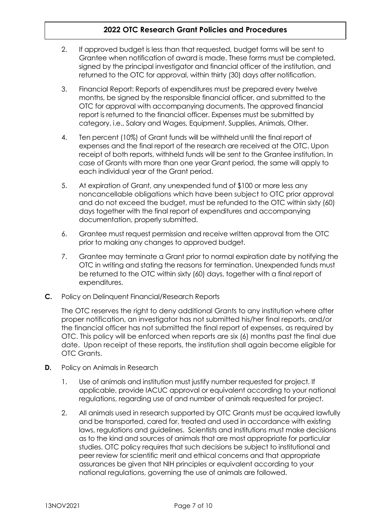- 2. If approved budget is less than that requested, budget forms will be sent to Grantee when notification of award is made. These forms must be completed, signed by the principal investigator and financial officer of the institution, and returned to the OTC for approval, within thirty (30) days after notification.
- 3. Financial Report: Reports of expenditures must be prepared every twelve months, be signed by the responsible financial officer, and submitted to the OTC for approval with accompanying documents. The approved financial report is returned to the financial officer. Expenses must be submitted by category, i.e., Salary and Wages, Equipment, Supplies, Animals, Other.
- 4. Ten percent (10%) of Grant funds will be withheld until the final report of expenses and the final report of the research are received at the OTC. Upon receipt of both reports, withheld funds will be sent to the Grantee institution. In case of Grants with more than one year Grant period, the same will apply to each individual year of the Grant period.
- 5. At expiration of Grant, any unexpended fund of \$100 or more less any noncancellable obligations which have been subject to OTC prior approval and do not exceed the budget, must be refunded to the OTC within sixty (60) days together with the final report of expenditures and accompanying documentation, properly submitted.
- 6. Grantee must request permission and receive written approval from the OTC prior to making any changes to approved budget.
- 7. Grantee may terminate a Grant prior to normal expiration date by notifying the OTC in writing and stating the reasons for termination. Unexpended funds must be returned to the OTC within sixty (60) days, together with a final report of expenditures.
- **C.** Policy on Delinquent Financial/Research Reports

The OTC reserves the right to deny additional Grants to any institution where after proper notification, an investigator has not submitted his/her final reports, and/or the financial officer has not submitted the final report of expenses, as required by OTC. This policy will be enforced when reports are six (6) months past the final due date. Upon receipt of these reports, the institution shall again become eligible for OTC Grants.

- **D.** Policy on Animals in Research
	- 1. Use of animals and institution must justify number requested for project. If applicable, provide IACUC approval or equivalent according to your national regulations, regarding use of and number of animals requested for project.
	- 2. All animals used in research supported by OTC Grants must be acquired lawfully and be transported, cared for, treated and used in accordance with existing laws, regulations and guidelines. Scientists and institutions must make decisions as to the kind and sources of animals that are most appropriate for particular studies. OTC policy requires that such decisions be subject to institutional and peer review for scientific merit and ethical concerns and that appropriate assurances be given that NIH principles or equivalent according to your national regulations, governing the use of animals are followed.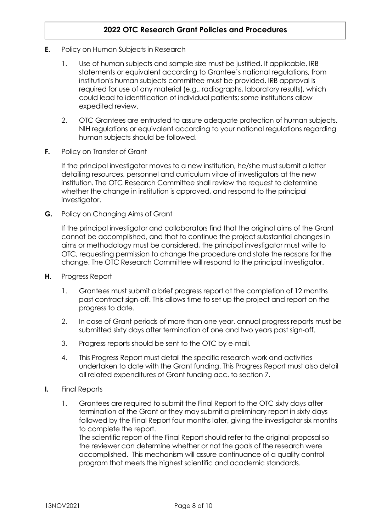- **E.** Policy on Human Subjects in Research
	- 1. Use of human subjects and sample size must be justified. If applicable, IRB statements or equivalent according to Grantee's national regulations, from institution's human subjects committee must be provided. IRB approval is required for use of any material (e.g., radiographs, laboratory results), which could lead to identification of individual patients; some institutions allow expedited review.
	- 2. OTC Grantees are entrusted to assure adequate protection of human subjects. NIH regulations or equivalent according to your national regulations regarding human subjects should be followed.
- **F.** Policy on Transfer of Grant

If the principal investigator moves to a new institution, he/she must submit a letter detailing resources, personnel and curriculum vitae of investigators at the new institution. The OTC Research Committee shall review the request to determine whether the change in institution is approved, and respond to the principal investigator.

**G.** Policy on Changing Aims of Grant

If the principal investigator and collaborators find that the original aims of the Grant cannot be accomplished, and that to continue the project substantial changes in aims or methodology must be considered, the principal investigator must write to OTC, requesting permission to change the procedure and state the reasons for the change. The OTC Research Committee will respond to the principal investigator.

- **H.** Progress Report
	- 1. Grantees must submit a brief progress report at the completion of 12 months past contract sign-off. This allows time to set up the project and report on the progress to date.
	- 2. In case of Grant periods of more than one year, annual progress reports must be submitted sixty days after termination of one and two years past sign-off.
	- 3. Progress reports should be sent to the OTC by e-mail.
	- 4. This Progress Report must detail the specific research work and activities undertaken to date with the Grant funding. This Progress Report must also detail all related expenditures of Grant funding acc. to section 7.
- **I.** Final Reports
	- 1. Grantees are required to submit the Final Report to the OTC sixty days after termination of the Grant or they may submit a preliminary report in sixty days followed by the Final Report four months later, giving the investigator six months to complete the report.

The scientific report of the Final Report should refer to the original proposal so the reviewer can determine whether or not the goals of the research were accomplished. This mechanism will assure continuance of a quality control program that meets the highest scientific and academic standards.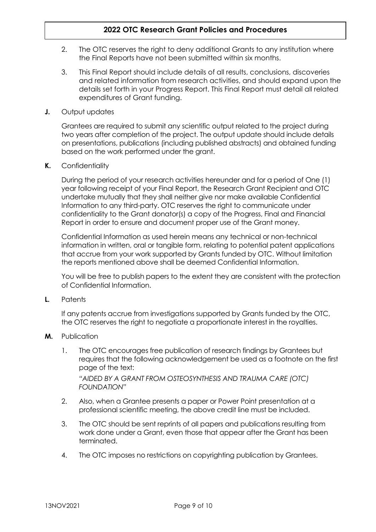- 2. The OTC reserves the right to deny additional Grants to any institution where the Final Reports have not been submitted within six months.
- 3. This Final Report should include details of all results, conclusions, discoveries and related information from research activities, and should expand upon the details set forth in your Progress Report. This Final Report must detail all related expenditures of Grant funding.
- **J.** Output updates

Grantees are required to submit any scientific output related to the project during two years after completion of the project. The output update should include details on presentations, publications (including published abstracts) and obtained funding based on the work performed under the grant.

**K.** Confidentiality

During the period of your research activities hereunder and for a period of One (1) year following receipt of your Final Report, the Research Grant Recipient and OTC undertake mutually that they shall neither give nor make available Confidential Information to any third-party. OTC reserves the right to communicate under confidentiality to the Grant donator(s) a copy of the Progress, Final and Financial Report in order to ensure and document proper use of the Grant money.

Confidential Information as used herein means any technical or non-technical information in written, oral or tangible form, relating to potential patent applications that accrue from your work supported by Grants funded by OTC. Without limitation the reports mentioned above shall be deemed Confidential Information.

You will be free to publish papers to the extent they are consistent with the protection of Confidential Information.

**L.** Patents

If any patents accrue from investigations supported by Grants funded by the OTC, the OTC reserves the right to negotiate a proportionate interest in the royalties.

- **M.** Publication
	- 1. The OTC encourages free publication of research findings by Grantees but requires that the following acknowledgement be used as a footnote on the first page of the text: *"AIDED BY A GRANT FROM OSTEOSYNTHESIS AND TRAUMA CARE (OTC) FOUNDATION"*
	- 2. Also, when a Grantee presents a paper or Power Point presentation at a professional scientific meeting, the above credit line must be included.
	- 3. The OTC should be sent reprints of all papers and publications resulting from work done under a Grant, even those that appear after the Grant has been terminated.
	- 4. The OTC imposes no restrictions on copyrighting publication by Grantees.